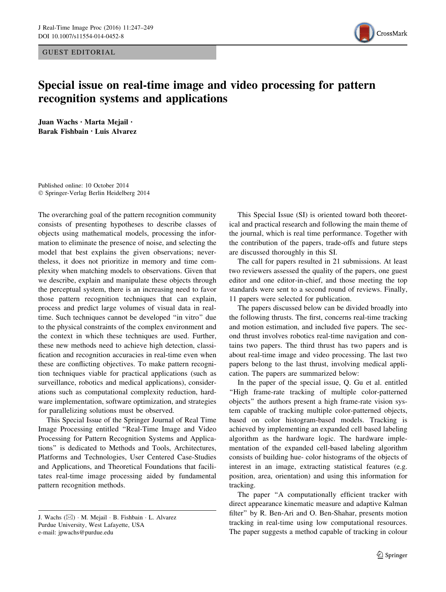GUEST EDITORIAL



## Special issue on real-time image and video processing for pattern recognition systems and applications

Juan Wachs • Marta Mejail • Barak Fishbain • Luis Alvarez

Published online: 10 October 2014 - Springer-Verlag Berlin Heidelberg 2014

The overarching goal of the pattern recognition community consists of presenting hypotheses to describe classes of objects using mathematical models, processing the information to eliminate the presence of noise, and selecting the model that best explains the given observations; nevertheless, it does not prioritize in memory and time complexity when matching models to observations. Given that we describe, explain and manipulate these objects through the perceptual system, there is an increasing need to favor those pattern recognition techniques that can explain, process and predict large volumes of visual data in realtime. Such techniques cannot be developed ''in vitro'' due to the physical constraints of the complex environment and the context in which these techniques are used. Further, these new methods need to achieve high detection, classification and recognition accuracies in real-time even when these are conflicting objectives. To make pattern recognition techniques viable for practical applications (such as surveillance, robotics and medical applications), considerations such as computational complexity reduction, hardware implementation, software optimization, and strategies for parallelizing solutions must be observed.

This Special Issue of the Springer Journal of Real Time Image Processing entitled ''Real-Time Image and Video Processing for Pattern Recognition Systems and Applications'' is dedicated to Methods and Tools, Architectures, Platforms and Technologies, User Centered Case-Studies and Applications, and Theoretical Foundations that facilitates real-time image processing aided by fundamental pattern recognition methods.

This Special Issue (SI) is oriented toward both theoretical and practical research and following the main theme of the journal, which is real time performance. Together with the contribution of the papers, trade-offs and future steps are discussed thoroughly in this SI.

The call for papers resulted in 21 submissions. At least two reviewers assessed the quality of the papers, one guest editor and one editor-in-chief, and those meeting the top standards were sent to a second round of reviews. Finally, 11 papers were selected for publication.

The papers discussed below can be divided broadly into the following thrusts. The first, concerns real-time tracking and motion estimation, and included five papers. The second thrust involves robotics real-time navigation and contains two papers. The third thrust has two papers and is about real-time image and video processing. The last two papers belong to the last thrust, involving medical application. The papers are summarized below:

In the paper of the special issue, Q. Gu et al. entitled ''High frame-rate tracking of multiple color-patterned objects'' the authors present a high frame-rate vision system capable of tracking multiple color-patterned objects, based on color histogram-based models. Tracking is achieved by implementing an expanded cell based labeling algorithm as the hardware logic. The hardware implementation of the expanded cell-based labeling algorithm consists of building hue- color histograms of the objects of interest in an image, extracting statistical features (e.g. position, area, orientation) and using this information for tracking.

The paper "A computationally efficient tracker with direct appearance kinematic measure and adaptive Kalman filter'' by R. Ben-Ari and O. Ben-Shahar, presents motion tracking in real-time using low computational resources. The paper suggests a method capable of tracking in colour

J. Wachs (&) - M. Mejail - B. Fishbain - L. Alvarez Purdue University, West Lafayette, USA e-mail: jpwachs@purdue.edu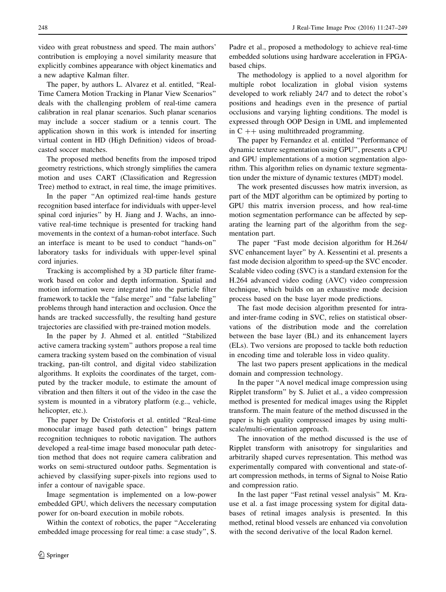video with great robustness and speed. The main authors' contribution is employing a novel similarity measure that explicitly combines appearance with object kinematics and a new adaptive Kalman filter.

The paper, by authors L. Alvarez et al. entitled, ''Real-Time Camera Motion Tracking in Planar View Scenarios'' deals with the challenging problem of real-time camera calibration in real planar scenarios. Such planar scenarios may include a soccer stadium or a tennis court. The application shown in this work is intended for inserting virtual content in HD (High Definition) videos of broadcasted soccer matches.

The proposed method benefits from the imposed tripod geometry restrictions, which strongly simplifies the camera motion and uses CART (Classification and Regression Tree) method to extract, in real time, the image primitives.

In the paper ''An optimized real-time hands gesture recognition based interface for individuals with upper-level spinal cord injuries'' by H. Jiang and J. Wachs, an innovative real-time technique is presented for tracking hand movements in the context of a human-robot interface. Such an interface is meant to be used to conduct ''hands-on'' laboratory tasks for individuals with upper-level spinal cord injuries.

Tracking is accomplished by a 3D particle filter framework based on color and depth information. Spatial and motion information were integrated into the particle filter framework to tackle the "false merge" and "false labeling" problems through hand interaction and occlusion. Once the hands are tracked successfully, the resulting hand gesture trajectories are classified with pre-trained motion models.

In the paper by J. Ahmed et al. entitled ''Stabilized active camera tracking system'' authors propose a real time camera tracking system based on the combination of visual tracking, pan-tilt control, and digital video stabilization algorithms. It exploits the coordinates of the target, computed by the tracker module, to estimate the amount of vibration and then filters it out of the video in the case the system is mounted in a vibratory platform (e.g.., vehicle, helicopter, etc.).

The paper by De Cristoforis et al. entitled ''Real-time monocular image based path detection'' brings pattern recognition techniques to robotic navigation. The authors developed a real-time image based monocular path detection method that does not require camera calibration and works on semi-structured outdoor paths. Segmentation is achieved by classifying super-pixels into regions used to infer a contour of navigable space.

Image segmentation is implemented on a low-power embedded GPU, which delivers the necessary computation power for on-board execution in mobile robots.

Within the context of robotics, the paper ''Accelerating embedded image processing for real time: a case study'', S.

Padre et al., proposed a methodology to achieve real-time embedded solutions using hardware acceleration in FPGAbased chips.

The methodology is applied to a novel algorithm for multiple robot localization in global vision systems developed to work reliably 24/7 and to detect the robot's positions and headings even in the presence of partial occlusions and varying lighting conditions. The model is expressed through OOP Design in UML and implemented in  $C +$  + using multithreaded programming.

The paper by Fernandez et al. entitled ''Performance of dynamic texture segmentation using GPU'', presents a CPU and GPU implementations of a motion segmentation algorithm. This algorithm relies on dynamic texture segmentation under the mixture of dynamic textures (MDT) model.

The work presented discusses how matrix inversion, as part of the MDT algorithm can be optimized by porting to GPU this matrix inversion process, and how real-time motion segmentation performance can be affected by separating the learning part of the algorithm from the segmentation part.

The paper "Fast mode decision algorithm for H.264/ SVC enhancement layer'' by A. Kessentini et al. presents a fast mode decision algorithm to speed-up the SVC encoder. Scalable video coding (SVC) is a standard extension for the H.264 advanced video coding (AVC) video compression technique, which builds on an exhaustive mode decision process based on the base layer mode predictions.

The fast mode decision algorithm presented for intraand inter-frame coding in SVC, relies on statistical observations of the distribution mode and the correlation between the base layer (BL) and its enhancement layers (ELs). Two versions are proposed to tackle both reduction in encoding time and tolerable loss in video quality.

The last two papers present applications in the medical domain and compression technology.

In the paper ''A novel medical image compression using Ripplet transform'' by S. Juliet et al., a video compression method is presented for medical images using the Ripplet transform. The main feature of the method discussed in the paper is high quality compressed images by using multiscale/multi-orientation approach.

The innovation of the method discussed is the use of Ripplet transform with anisotropy for singularities and arbitrarily shaped curves representation. This method was experimentally compared with conventional and state-ofart compression methods, in terms of Signal to Noise Ratio and compression ratio.

In the last paper "Fast retinal vessel analysis" M. Krause et al. a fast image processing system for digital databases of retinal images analysis is presented. In this method, retinal blood vessels are enhanced via convolution with the second derivative of the local Radon kernel.